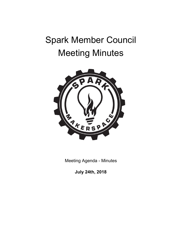# Spark Member Council Meeting Minutes



Meeting Agenda - Minutes

**July 24th, 2018**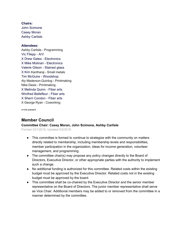# **Chairs:**

John Scimone Casey Moran Ashby Carlisle

# **Attendees:**

Ashby Carlisle - Programming Vic Filepp - A/V X Drew Gates - Electronics X Mike Molinari - Electronics Valerie Gilson - Stained glass X Kim Kantharaj - Small metals Tim McGuire - Woodshop Aly Maderson-Quinlog - Printmaking Nike Desis - Printmaking X Melinda Quinn - Fiber arts Winifred Bellefleur - Fiber arts X Sherri Condon - Fiber arts X George Ryan - Coworking

x=not present

# **Member Council**

## **Committee Chair: Casey Moran, John Scimone, Ashby Carlisle**

Formed 3/21/2018, Updated 5/2/2018

- This committee is formed to continue to strategize with the community on matters directly related to membership, including membership levels and responsibilities, member participation in the organization, ideas for income generation, volunteer management, and programming.
- The committee chair(s) may propose any policy changes directly to the Board of Directors, Executive Director, or other appropriate parties with the authority to implement such a change.
- No additional funding is authorized for this committee. Related costs within the existing budget must be approved by the Executive Director. Related costs not in the existing budget must be approved by the board.
- This committee shall be co-chaired by the Executive Director and the senior member representative on the Board of Directors. The junior member representative shall serve as Vice Chair. Additional members may be added to or removed from the committee in a manner determined by the committee.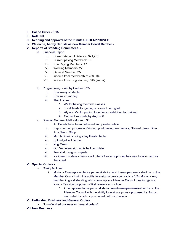- **I. Call to Order - 6:15**
- **II. Roll Call**
- **III. Reading and approval of the minutes. 6:20 APPROVED**
- **IV.** Welcome, Ashby Carlisle as new Member Board Member -
- **V. Reports of Standing Committees.** 
	- a. Financial Report
		- I. Current Account Balance: \$21,231
		- II. Current paying Members: 62
		- III. Non Paying Members: 17
		- IV. Working Members: 27
		- V. General Member: 35
		- VI. Income from membership: 2885.34
		- VII. Income from programming: 845 (so far)
	- b. Programming: Ashby Carlisle 6:25
		- i. How many students
		- ii. How much money
		- iii. Thank Yous
			- 1. AV for having their first classes
			- 2. To all leads for getting so close to our goal
			- 3. Aly and Val for putting together an exhibition for Sailfest
			- 4. Submit Proposals by August 6
	- c. Special: Summer Melt Moran 6:30
		- i. Art Panels have been delivered and painted white
		- ii. Report out on progress- Painting, printmaking, electronics, Stained glass, Fiber Arts, Wood Shop
		- iii. Murph Boski is doing a toy theater table
		- iv. Dj Gadget will be pla
		- v. ying Music
		- vi. Our Volunteer sign up is half complete
		- vii. Tee shirt design complete
		- viii. Ice Cream update Berry's will offer a free scoop from their new location across the street

#### **VI. Special Orders -**

- a. Clarify Motions
	- i. Motion One representative per workstation and three open seats shall be on the Member Council with the ability to assign a proxy contradicts 6/24 Motion - Any member in good standing who shows up to a Member Council meeting gets a vote. - Revision proposed of first referenced motion:
		- 1. One representative per workstation and three open seats shall be on the Member Council with the ability to assign a proxy - proposed by Ashby, seconded by John - postponed until next session

#### **VII. Unfinished Business and General Orders.**

a. No unfinished business or general orders?

#### **VIII.New Business.**